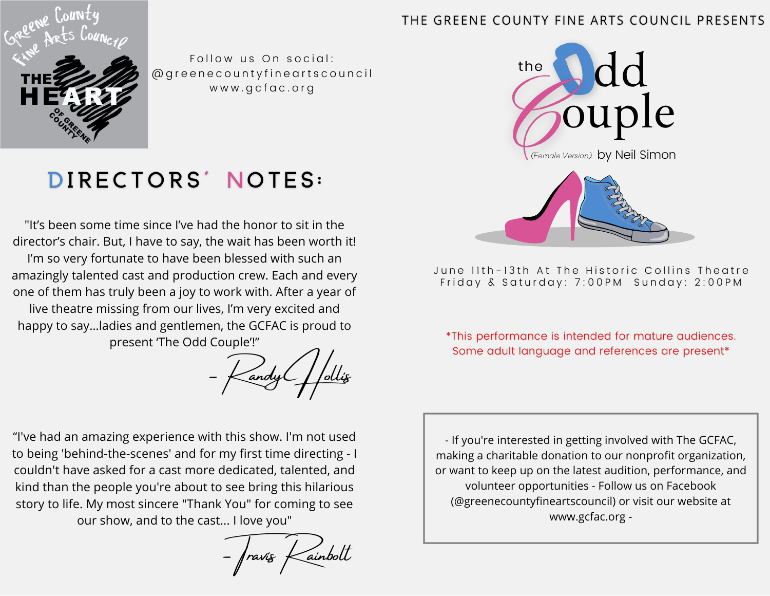#### THE GREENE COUNTY FINE ARTS COUNCIL PRESENTS



Follow us On social: @ g r e e n e c o u n t y f i n e a r t s c o u n c i l www.gcfac.org



June 11th-13th At The Historic Collins Theatre Friday & Saturday: 7:00PM Sunday: 2:00PM

\*This performance is intended for mature audiences. Some adult language and references are present\*

- If you're interested in getting involved with The GCFAC, making a charitable donation to our nonprofit organization, or want to keep up on the latest audition, performance, and volunteer opportunities - Follow us on Facebook (@greenecountyfineartscouncil) or visit our website at www.gcfac.org -

### DIRECTORS' NOTES:

"It's been some time since I've had the honor to sit in the director's chair. But, I have to say, the wait has been worth it! I'm so very fortunate to have been blessed with such an amazingly talented cast and production crew. Each and every one of them has truly been a joy to work with. After a year of live theatre missing from our lives, I'm very excited and happy to say…ladies and gentlemen, the GCFAC is proud to present 'The Odd Couple'!"

- Kandy Hollis

"I've had an amazing experience with this show. I'm not used to being 'behind-the-scenes' and for my first time directing - I couldn't have asked for a cast more dedicated, talented, and kind than the people you're about to see bring this hilarious story to life. My most sincere "Thank You" for coming to see our show, and to the cast... I love you"

 $-$  fravis  $\times$ ainbolt